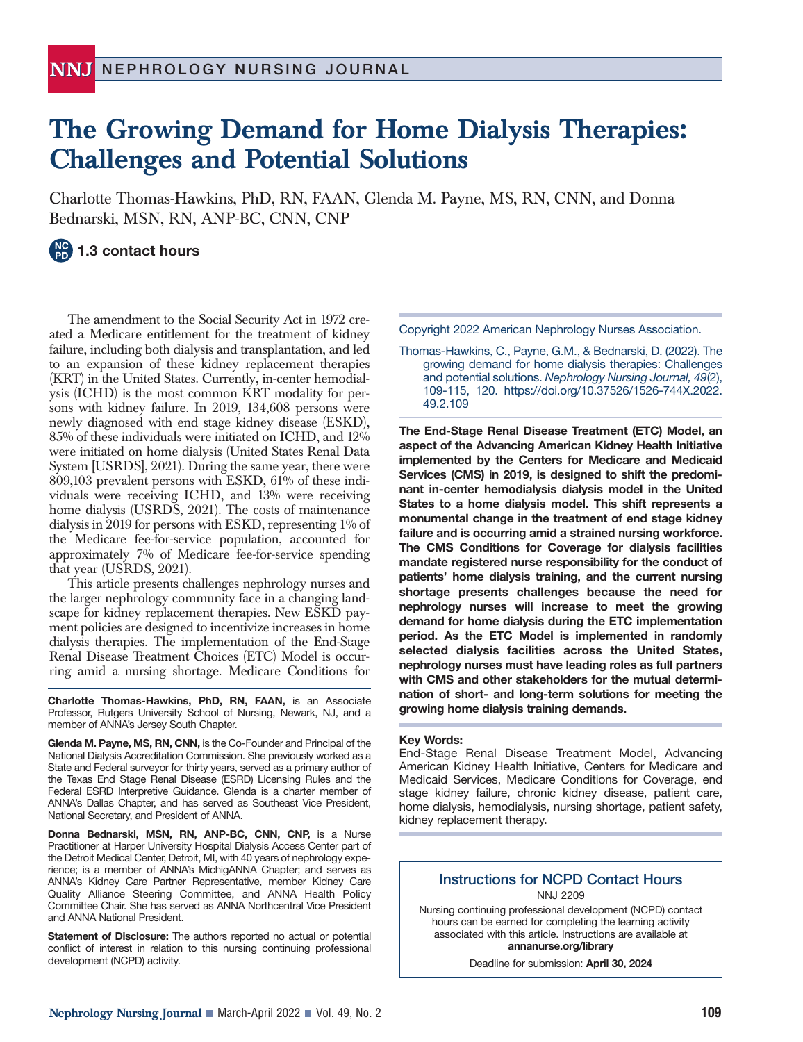# **The Growing Demand for Home Dialysis Therapies: Challenges and Potential Solutions**

Charlotte Thomas-Hawkins, PhD, RN, FAAN, Glenda M. Payne, MS, RN, CNN, and Donna Bednarski, MSN, RN, ANP-BC, CNN, CNP

# **1.3 contact hours**

The amendment to the Social Security Act in 1972 created a Medicare entitlement for the treatment of kidney failure, including both dialysis and transplantation, and led to an expansion of these kidney replacement therapies (KRT) in the United States. Currently, in-center hemodialysis (ICHD) is the most common KRT modality for persons with kidney failure. In 2019, 134,608 persons were newly diagnosed with end stage kidney disease (ESKD), 85% of these individuals were initiated on ICHD, and 12% were initiated on home dialysis (United States Renal Data System [USRDS], 2021). During the same year, there were 809,103 prevalent persons with ESKD, 61% of these individuals were receiving ICHD, and 13% were receiving home dialysis (USRDS, 2021). The costs of maintenance dialysis in 2019 for persons with ESKD, representing 1% of the Medicare fee-for-service population, accounted for approximately 7% of Medicare fee-for-service spending that year (USRDS, 2021).

This article presents challenges nephrology nurses and the larger nephrology community face in a changing landscape for kidney replacement therapies. New ESKD payment policies are designed to incentivize increases in home dialysis therapies. The implementation of the End-Stage Renal Disease Treatment Choices (ETC) Model is occurring amid a nursing shortage. Medicare Conditions for

**Charlotte Thomas-Hawkins, PhD, RN, FAAN,** is an Associate Professor, Rutgers University School of Nursing, Newark, NJ, and a member of ANNA's Jersey South Chapter.

**Glenda M. Payne, MS, RN, CNN,** is the Co-Founder and Principal of the National Dialysis Accreditation Commission. She previously worked as a State and Federal surveyor for thirty years, served as a primary author of the Texas End Stage Renal Disease (ESRD) Licensing Rules and the Federal ESRD Interpretive Guidance. Glenda is a charter member of ANNA's Dallas Chapter, and has served as Southeast Vice President, National Secretary, and President of ANNA.

**Donna Bednarski, MSN, RN, ANP-BC, CNN, CNP,** is a Nurse Practitioner at Harper University Hospital Dialysis Access Center part of the Detroit Medical Center, Detroit, MI, with 40 years of nephrology experience; is a member of ANNA's MichigANNA Chapter; and serves as ANNA's Kidney Care Partner Representative, member Kidney Care Quality Alliance Steering Committee, and ANNA Health Policy Committee Chair. She has served as ANNA Northcentral Vice President and ANNA National President.

**Statement of Disclosure:** The authors reported no actual or potential conflict of interest in relation to this nursing continuing professional development (NCPD) activity.

Copyright 2022 American Nephrology Nurses Association.

Thomas-Hawkins, C., Payne, G.M., & Bednarski, D. (2022). The growing demand for home dialysis therapies: Challenges and potential solutions. *Nephrology Nursing Journal, 49*(2), 109-115, 120. https://doi.org/10.37526/1526-744X.2022. 49.2.109

**The End-Stage Renal Disease Treatment (ETC) Model, an aspect of the Advancing American Kidney Health Initiative implemented by the Centers for Medicare and Medicaid Services (CMS) in 2019, is designed to shift the predominant in-center hemodialysis dialysis model in the United States to a home dialysis model. This shift represents a monumental change in the treatment of end stage kidney failure and is occurring amid a strained nursing workforce. The CMS Conditions for Coverage for dialysis facilities mandate registered nurse responsibility for the conduct of patients' home dialysis training, and the current nursing shortage presents challenges because the need for nephrology nurses will increase to meet the growing demand for home dialysis during the ETC implementation period. As the ETC Model is implemented in randomly selected dialysis facilities across the United States, nephrology nurses must have leading roles as full partners with CMS and other stakeholders for the mutual determination of short- and long-term solutions for meeting the growing home dialysis training demands.**

#### **Key Words:**

End-Stage Renal Disease Treatment Model, Advancing American Kidney Health Initiative, Centers for Medicare and Medicaid Services, Medicare Conditions for Coverage, end stage kidney failure, chronic kidney disease, patient care, home dialysis, hemodialysis, nursing shortage, patient safety, kidney replacement therapy.

## **Instructions for NCPD Contact Hours** NNJ 2209

Nursing continuing professional development (NCPD) contact hours can be earned for completing the learning activity associated with this article. Instructions are available at **annanurse.org/library**

Deadline for submission: **April 30, 2024**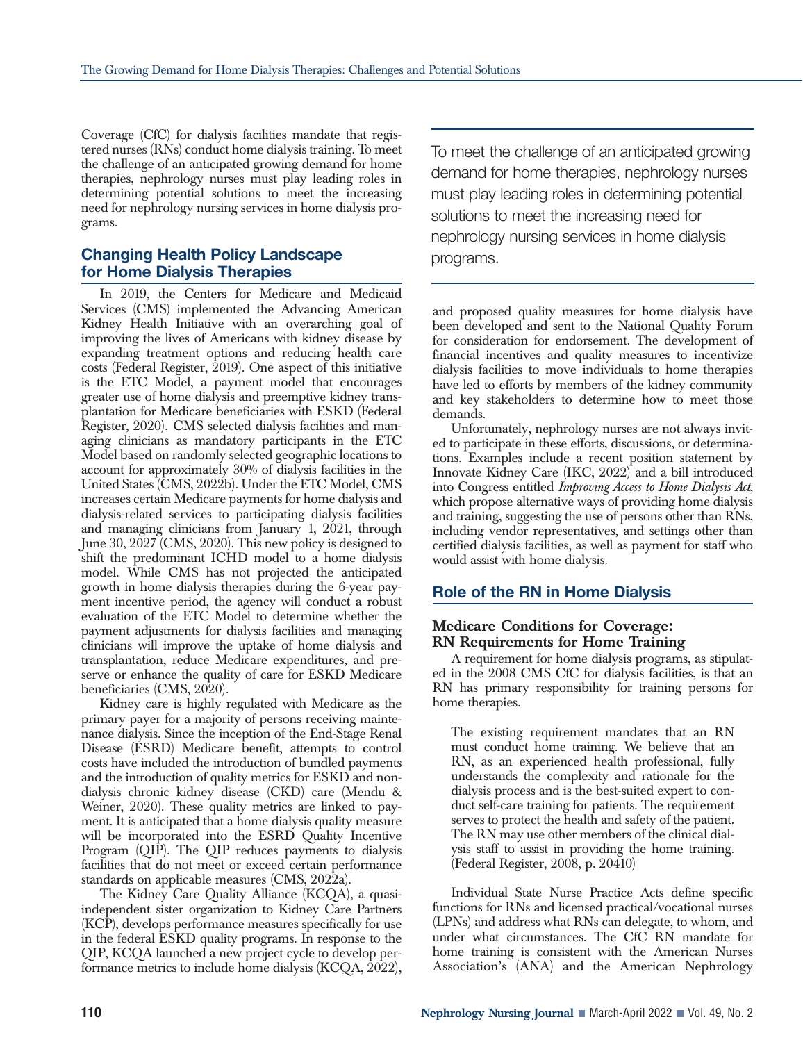Coverage (CfC) for dialysis facilities mandate that registered nurses (RNs) conduct home dialysis training. To meet the challenge of an anticipated growing demand for home therapies, nephrology nurses must play leading roles in determining potential solutions to meet the increasing need for nephrology nursing services in home dialysis programs.

## **Changing Health Policy Landscape for Home Dialysis Therapies**

In 2019, the Centers for Medicare and Medicaid Services (CMS) implemented the Advancing American Kidney Health Initiative with an overarching goal of improving the lives of Americans with kidney disease by expanding treatment options and reducing health care costs (Federal Register, 2019). One aspect of this initiative is the ETC Model, a payment model that encourages greater use of home dialysis and preemptive kidney transplantation for Medicare beneficiaries with ESKD (Federal Register, 2020). CMS selected dialysis facilities and managing clinicians as mandatory participants in the ETC Model based on randomly selected geographic locations to account for approximately 30% of dialysis facilities in the United States (CMS, 2022b). Under the ETC Model, CMS increases certain Medicare payments for home dialysis and dialysis-related services to participating dialysis facilities and managing clinicians from January 1, 2021, through June 30, 2027 (CMS, 2020). This new policy is designed to shift the predominant ICHD model to a home dialysis model. While CMS has not projected the anticipated growth in home dialysis therapies during the 6-year payment incentive period, the agency will conduct a robust evaluation of the ETC Model to determine whether the payment adjustments for dialysis facilities and managing clinicians will improve the uptake of home dialysis and transplantation, reduce Medicare expenditures, and preserve or enhance the quality of care for ESKD Medicare beneficiaries (CMS, 2020).

Kidney care is highly regulated with Medicare as the primary payer for a majority of persons receiving maintenance dialysis. Since the inception of the End-Stage Renal Disease (ESRD) Medicare benefit, attempts to control costs have included the introduction of bundled payments and the introduction of quality metrics for ESKD and nondialysis chronic kidney disease (CKD) care (Mendu & Weiner, 2020). These quality metrics are linked to payment. It is anticipated that a home dialysis quality measure will be incorporated into the ESRD Quality Incentive Program (QIP). The QIP reduces payments to dialysis facilities that do not meet or exceed certain performance standards on applicable measures (CMS, 2022a).

The Kidney Care Quality Alliance (KCQA), a quasiindependent sister organization to Kidney Care Partners (KCP), develops performance measures specifically for use in the federal ESKD quality programs. In response to the QIP, KCQA launched a new project cycle to develop performance metrics to include home dialysis (KCQA, 2022),

To meet the challenge of an anticipated growing demand for home therapies, nephrology nurses must play leading roles in determining potential solutions to meet the increasing need for nephrology nursing services in home dialysis programs.

and proposed quality measures for home dialysis have been developed and sent to the National Quality Forum for consideration for endorsement. The development of financial incentives and quality measures to incentivize dialysis facilities to move individuals to home therapies have led to efforts by members of the kidney community and key stakeholders to determine how to meet those demands.

Unfortunately, nephrology nurses are not always invited to participate in these efforts, discussions, or determinations. Examples include a recent position statement by Innovate Kidney Care (IKC, 2022) and a bill introduced into Congress entitled *Improving Access to Home Dialysis Act*, which propose alternative ways of providing home dialysis and training, suggesting the use of persons other than RNs, including vendor representatives, and settings other than certified dialysis facilities, as well as payment for staff who would assist with home dialysis.

## **Role of the RN in Home Dialysis**

#### **Medicare Conditions for Coverage: RN Requirements for Home Training**

A requirement for home dialysis programs, as stipulated in the 2008 CMS CfC for dialysis facilities, is that an RN has primary responsibility for training persons for home therapies.

The existing requirement mandates that an RN must conduct home training. We believe that an RN, as an experienced health professional, fully understands the complexity and rationale for the dialysis process and is the best-suited expert to conduct self-care training for patients. The requirement serves to protect the health and safety of the patient. The RN may use other members of the clinical dialysis staff to assist in providing the home training. (Federal Register, 2008, p. 20410)

Individual State Nurse Practice Acts define specific functions for RNs and licensed practical/vocational nurses (LPNs) and address what RNs can delegate, to whom, and under what circumstances. The CfC RN mandate for home training is consistent with the American Nurses Association's (ANA) and the American Nephrology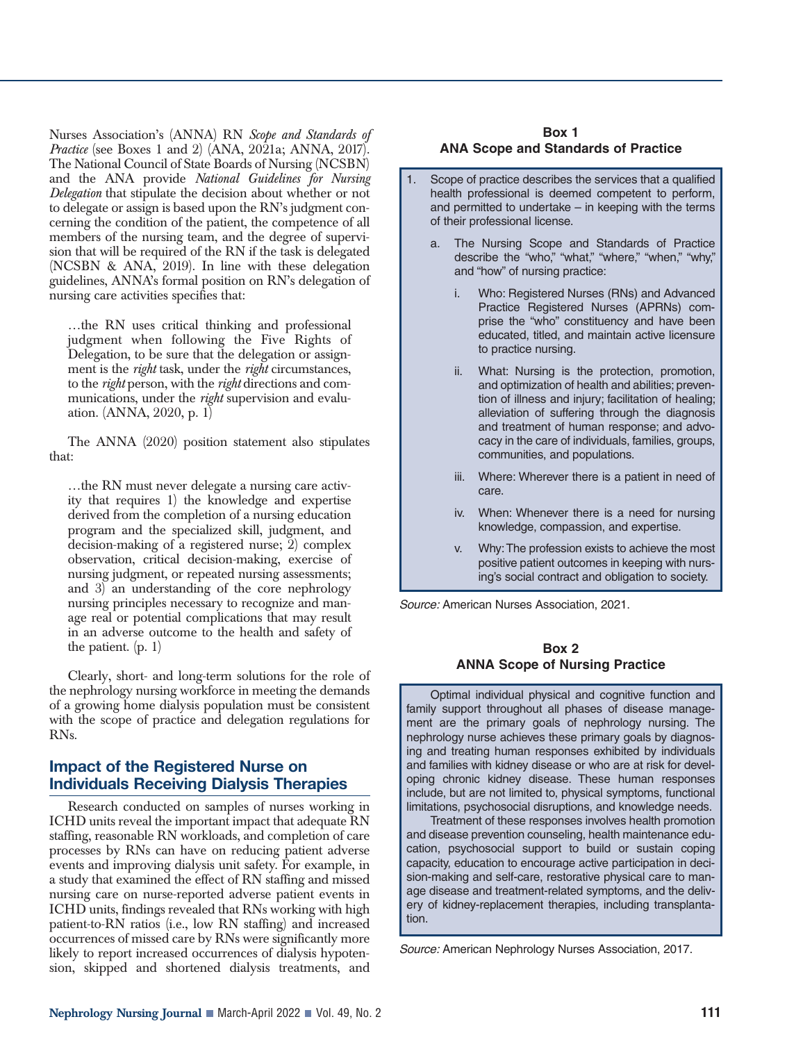Nurses Association's (ANNA) RN *Scope and Standards of Practice* (see Boxes 1 and 2) (ANA, 2021a; ANNA, 2017). The National Council of State Boards of Nursing (NCSBN) and the ANA provide *National Guidelines for Nursing Delegation* that stipulate the decision about whether or not to delegate or assign is based upon the RN's judgment concerning the condition of the patient, the competence of all members of the nursing team, and the degree of supervision that will be required of the RN if the task is delegated (NCSBN & ANA, 2019). In line with these delegation guidelines, ANNA's formal position on RN's delegation of nursing care activities specifies that:

…the RN uses critical thinking and professional judgment when following the Five Rights of Delegation, to be sure that the delegation or assignment is the *right* task, under the *right* circumstances, to the *right* person, with the *right* directions and communications, under the *right* supervision and evaluation. (ANNA, 2020, p. 1)

The ANNA (2020) position statement also stipulates that:

…the RN must never delegate a nursing care activity that requires 1) the knowledge and expertise derived from the completion of a nursing education program and the specialized skill, judgment, and decision-making of a registered nurse; 2) complex observation, critical decision-making, exercise of nursing judgment, or repeated nursing assessments; and 3) an understanding of the core nephrology nursing principles necessary to recognize and manage real or potential complications that may result in an adverse outcome to the health and safety of the patient. (p. 1)

Clearly, short- and long-term solutions for the role of the nephrology nursing workforce in meeting the demands of a growing home dialysis population must be consistent with the scope of practice and delegation regulations for RNs.

## **Impact of the Registered Nurse on Individuals Receiving Dialysis Therapies**

Research conducted on samples of nurses working in ICHD units reveal the important impact that adequate RN staffing, reasonable RN workloads, and completion of care processes by RNs can have on reducing patient adverse events and improving dialysis unit safety. For example, in a study that examined the effect of RN staffing and missed nursing care on nurse-reported adverse patient events in ICHD units, findings revealed that RNs working with high patient-to-RN ratios (i.e., low RN staffing) and increased occurrences of missed care by RNs were significantly more likely to report increased occurrences of dialysis hypotension, skipped and shortened dialysis treatments, and

#### **Box 1 ANA Scope and Standards of Practice**

- Scope of practice describes the services that a qualified health professional is deemed competent to perform, and permitted to undertake – in keeping with the terms of their professional license.
	- a. The Nursing Scope and Standards of Practice describe the "who," "what," "where," "when," "why," and "how" of nursing practice:
		- i. Who: Registered Nurses (RNs) and Advanced Practice Registered Nurses (APRNs) comprise the "who" constituency and have been educated, titled, and maintain active licensure to practice nursing.
		- What: Nursing is the protection, promotion, and optimization of health and abilities; prevention of illness and injury; facilitation of healing; alleviation of suffering through the diagnosis and treatment of human response; and advocacy in the care of individuals, families, groups, communities, and populations.
		- iii. Where: Wherever there is a patient in need of care.
		- iv. When: Whenever there is a need for nursing knowledge, compassion, and expertise.
		- v. Why: The profession exists to achieve the most positive patient outcomes in keeping with nursing's social contract and obligation to society.

*Source:* American Nurses Association, 2021.

#### **Box 2 ANNA Scope of Nursing Practice**

Optimal individual physical and cognitive function and family support throughout all phases of disease management are the primary goals of nephrology nursing. The nephrology nurse achieves these primary goals by diagnosing and treating human responses exhibited by individuals and families with kidney disease or who are at risk for developing chronic kidney disease. These human responses include, but are not limited to, physical symptoms, functional limitations, psychosocial disruptions, and knowledge needs.

Treatment of these responses involves health promotion and disease prevention counseling, health maintenance education, psychosocial support to build or sustain coping capacity, education to encourage active participation in decision-making and self-care, restorative physical care to manage disease and treatment-related symptoms, and the delivery of kidney-replacement therapies, including transplantation.

*Source:* American Nephrology Nurses Association, 2017.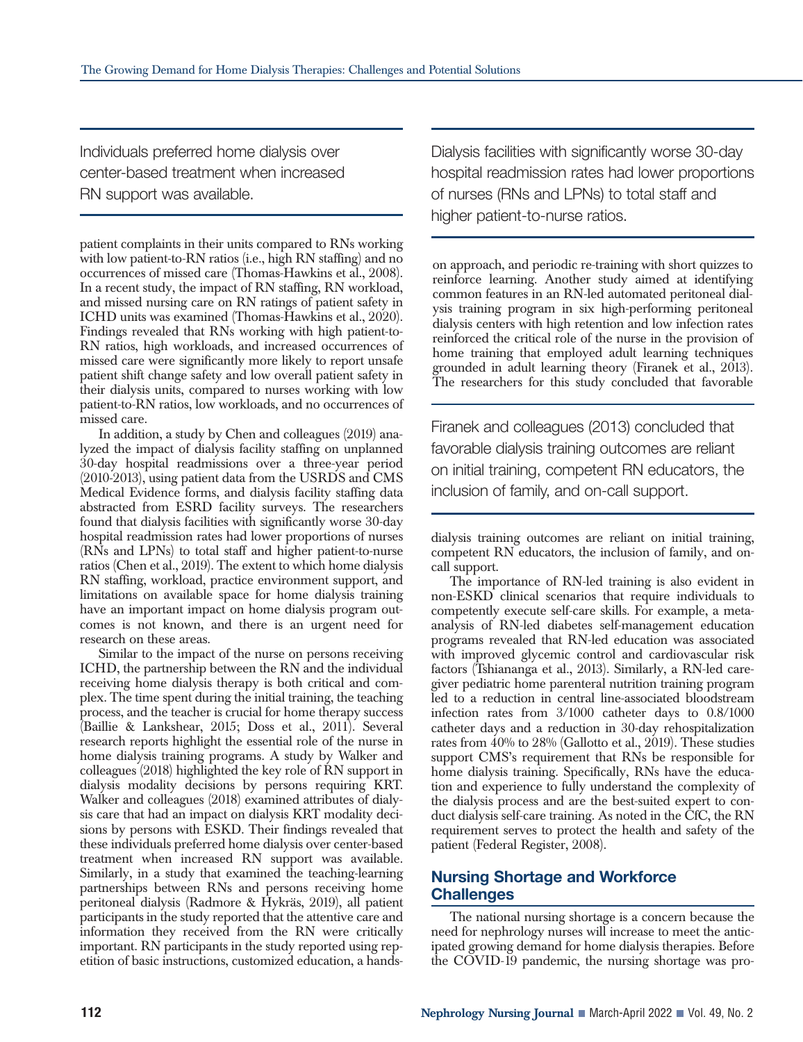Individuals preferred home dialysis over center-based treatment when increased RN support was available.

patient complaints in their units compared to RNs working with low patient-to-RN ratios (i.e., high RN staffing) and no occurrences of missed care (Thomas-Hawkins et al., 2008). In a recent study, the impact of RN staffing, RN workload, and missed nursing care on RN ratings of patient safety in ICHD units was examined (Thomas-Hawkins et al., 2020). Findings revealed that RNs working with high patient-to-RN ratios, high workloads, and increased occurrences of missed care were significantly more likely to report unsafe patient shift change safety and low overall patient safety in their dialysis units, compared to nurses working with low patient-to-RN ratios, low workloads, and no occurrences of missed care.

In addition, a study by Chen and colleagues (2019) analyzed the impact of dialysis facility staffing on unplanned 30-day hospital readmissions over a three-year period (2010-2013), using patient data from the USRDS and CMS Medical Evidence forms, and dialysis facility staffing data abstracted from ESRD facility surveys. The researchers found that dialysis facilities with significantly worse 30-day hospital readmission rates had lower proportions of nurses (RNs and LPNs) to total staff and higher patient-to-nurse ratios (Chen et al., 2019). The extent to which home dialysis RN staffing, workload, practice environment support, and limitations on available space for home dialysis training have an important impact on home dialysis program outcomes is not known, and there is an urgent need for research on these areas.

Similar to the impact of the nurse on persons receiving ICHD, the partnership between the RN and the individual receiving home dialysis therapy is both critical and complex. The time spent during the initial training, the teaching process, and the teacher is crucial for home therapy success (Baillie & Lankshear, 2015; Doss et al., 2011). Several research reports highlight the essential role of the nurse in home dialysis training programs. A study by Walker and colleagues (2018) highlighted the key role of RN support in dialysis modality decisions by persons requiring KRT. Walker and colleagues (2018) examined attributes of dialysis care that had an impact on dialysis KRT modality decisions by persons with ESKD. Their findings revealed that these individuals preferred home dialysis over center-based treatment when increased RN support was available. Similarly, in a study that examined the teaching-learning partnerships between RNs and persons receiving home peritoneal dialysis (Radmore & Hykräs, 2019), all patient participants in the study reported that the attentive care and information they received from the RN were critically important. RN participants in the study reported using repetition of basic instructions, customized education, a handsDialysis facilities with significantly worse 30-day hospital readmission rates had lower proportions of nurses (RNs and LPNs) to total staff and higher patient-to-nurse ratios.

on approach, and periodic re-training with short quizzes to reinforce learning. Another study aimed at identifying common features in an RN-led automated peritoneal dialysis training program in six high-performing peritoneal dialysis centers with high retention and low infection rates reinforced the critical role of the nurse in the provision of home training that employed adult learning techniques grounded in adult learning theory (Firanek et al., 2013). The researchers for this study concluded that favorable

Firanek and colleagues (2013) concluded that favorable dialysis training outcomes are reliant on initial training, competent RN educators, the inclusion of family, and on-call support.

dialysis training outcomes are reliant on initial training, competent RN educators, the inclusion of family, and oncall support.

The importance of RN-led training is also evident in non-ESKD clinical scenarios that require individuals to competently execute self-care skills. For example, a metaanalysis of RN-led diabetes self-management education programs revealed that RN-led education was associated with improved glycemic control and cardiovascular risk factors (Tshiananga et al., 2013). Similarly, a RN-led caregiver pediatric home parenteral nutrition training program led to a reduction in central line-associated bloodstream infection rates from 3/1000 catheter days to 0.8/1000 catheter days and a reduction in 30-day rehospitalization rates from 40% to 28% (Gallotto et al., 2019). These studies support CMS's requirement that RNs be responsible for home dialysis training. Specifically, RNs have the education and experience to fully understand the complexity of the dialysis process and are the best-suited expert to conduct dialysis self-care training. As noted in the CfC, the RN requirement serves to protect the health and safety of the patient (Federal Register, 2008).

## **Nursing Shortage and Workforce Challenges**

The national nursing shortage is a concern because the need for nephrology nurses will increase to meet the anticipated growing demand for home dialysis therapies. Before the COVID-19 pandemic, the nursing shortage was pro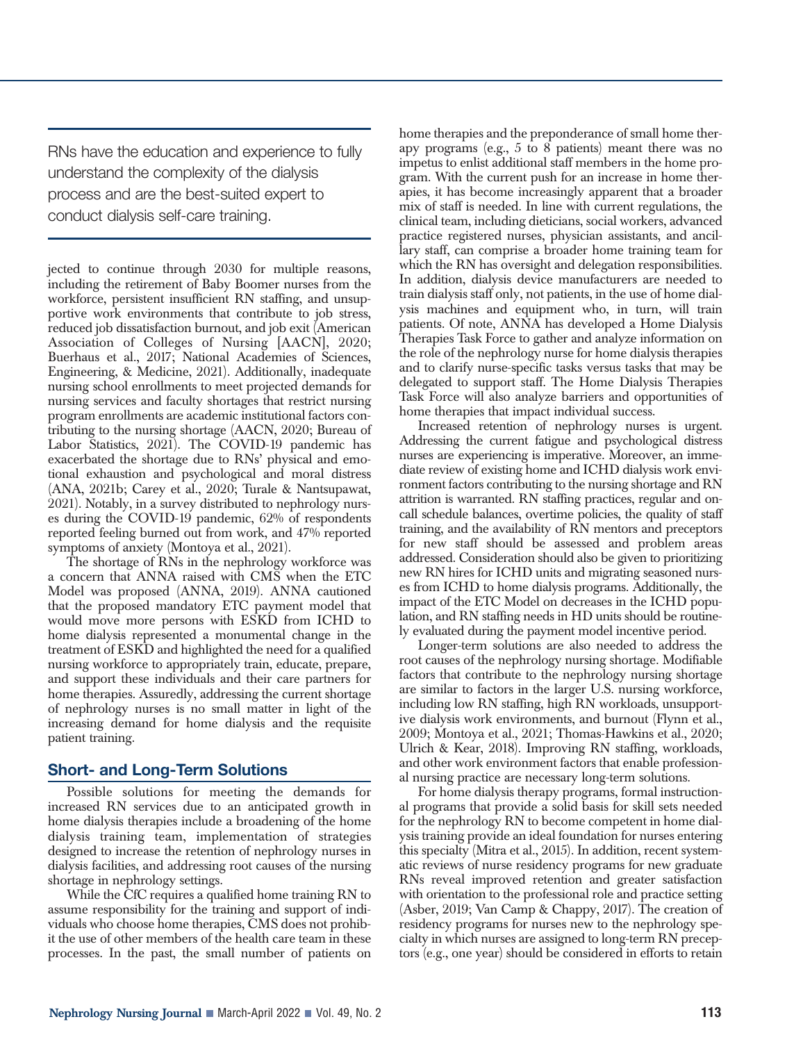RNs have the education and experience to fully understand the complexity of the dialysis process and are the best-suited expert to conduct dialysis self-care training.

jected to continue through 2030 for multiple reasons, including the retirement of Baby Boomer nurses from the workforce, persistent insufficient RN staffing, and unsupportive work environments that contribute to job stress, reduced job dissatisfaction burnout, and job exit (American Association of Colleges of Nursing [AACN], 2020; Buerhaus et al., 2017; National Academies of Sciences, Engineering, & Medicine, 2021). Additionally, inadequate nursing school enrollments to meet projected demands for nursing services and faculty shortages that restrict nursing program enrollments are academic institutional factors contributing to the nursing shortage (AACN, 2020; Bureau of Labor Statistics, 2021). The COVID-19 pandemic has exacerbated the shortage due to RNs' physical and emotional exhaustion and psychological and moral distress (ANA, 2021b; Carey et al., 2020; Turale & Nantsupawat, 2021). Notably, in a survey distributed to nephrology nurses during the COVID-19 pandemic, 62% of respondents reported feeling burned out from work, and 47% reported symptoms of anxiety (Montoya et al., 2021).

The shortage of RNs in the nephrology workforce was a concern that ANNA raised with CMS when the ETC Model was proposed (ANNA, 2019). ANNA cautioned that the proposed mandatory ETC payment model that would move more persons with ESKD from ICHD to home dialysis represented a monumental change in the treatment of ESKD and highlighted the need for a qualified nursing workforce to appropriately train, educate, prepare, and support these individuals and their care partners for home therapies. Assuredly, addressing the current shortage of nephrology nurses is no small matter in light of the increasing demand for home dialysis and the requisite patient training.

## **Short- and Long-Term Solutions**

Possible solutions for meeting the demands for increased RN services due to an anticipated growth in home dialysis therapies include a broadening of the home dialysis training team, implementation of strategies designed to increase the retention of nephrology nurses in dialysis facilities, and addressing root causes of the nursing shortage in nephrology settings.

While the CfC requires a qualified home training RN to assume responsibility for the training and support of individuals who choose home therapies, CMS does not prohibit the use of other members of the health care team in these processes. In the past, the small number of patients on home therapies and the preponderance of small home therapy programs (e.g., 5 to 8 patients) meant there was no impetus to enlist additional staff members in the home program. With the current push for an increase in home therapies, it has become increasingly apparent that a broader mix of staff is needed. In line with current regulations, the clinical team, including dieticians, social workers, advanced practice registered nurses, physician assistants, and ancillary staff, can comprise a broader home training team for which the RN has oversight and delegation responsibilities. In addition, dialysis device manufacturers are needed to train dialysis staff only, not patients, in the use of home dialysis machines and equipment who, in turn, will train patients. Of note, ANNA has developed a Home Dialysis Therapies Task Force to gather and analyze information on the role of the nephrology nurse for home dialysis therapies and to clarify nurse-specific tasks versus tasks that may be delegated to support staff. The Home Dialysis Therapies Task Force will also analyze barriers and opportunities of home therapies that impact individual success.

Increased retention of nephrology nurses is urgent. Addressing the current fatigue and psychological distress nurses are experiencing is imperative. Moreover, an immediate review of existing home and ICHD dialysis work environment factors contributing to the nursing shortage and RN attrition is warranted. RN staffing practices, regular and oncall schedule balances, overtime policies, the quality of staff training, and the availability of RN mentors and preceptors for new staff should be assessed and problem areas addressed. Consideration should also be given to prioritizing new RN hires for ICHD units and migrating seasoned nurses from ICHD to home dialysis programs. Additionally, the impact of the ETC Model on decreases in the ICHD population, and RN staffing needs in HD units should be routinely evaluated during the payment model incentive period.

Longer-term solutions are also needed to address the root causes of the nephrology nursing shortage. Modifiable factors that contribute to the nephrology nursing shortage are similar to factors in the larger U.S. nursing workforce, including low RN staffing, high RN workloads, unsupportive dialysis work environments, and burnout (Flynn et al., 2009; Montoya et al., 2021; Thomas-Hawkins et al., 2020; Ulrich & Kear, 2018). Improving RN staffing, workloads, and other work environment factors that enable professional nursing practice are necessary long-term solutions.

For home dialysis therapy programs, formal instructional programs that provide a solid basis for skill sets needed for the nephrology RN to become competent in home dialysis training provide an ideal foundation for nurses entering this specialty (Mitra et al., 2015). In addition, recent systematic reviews of nurse residency programs for new graduate RNs reveal improved retention and greater satisfaction with orientation to the professional role and practice setting (Asber, 2019; Van Camp & Chappy, 2017). The creation of residency programs for nurses new to the nephrology specialty in which nurses are assigned to long-term RN preceptors (e.g., one year) should be considered in efforts to retain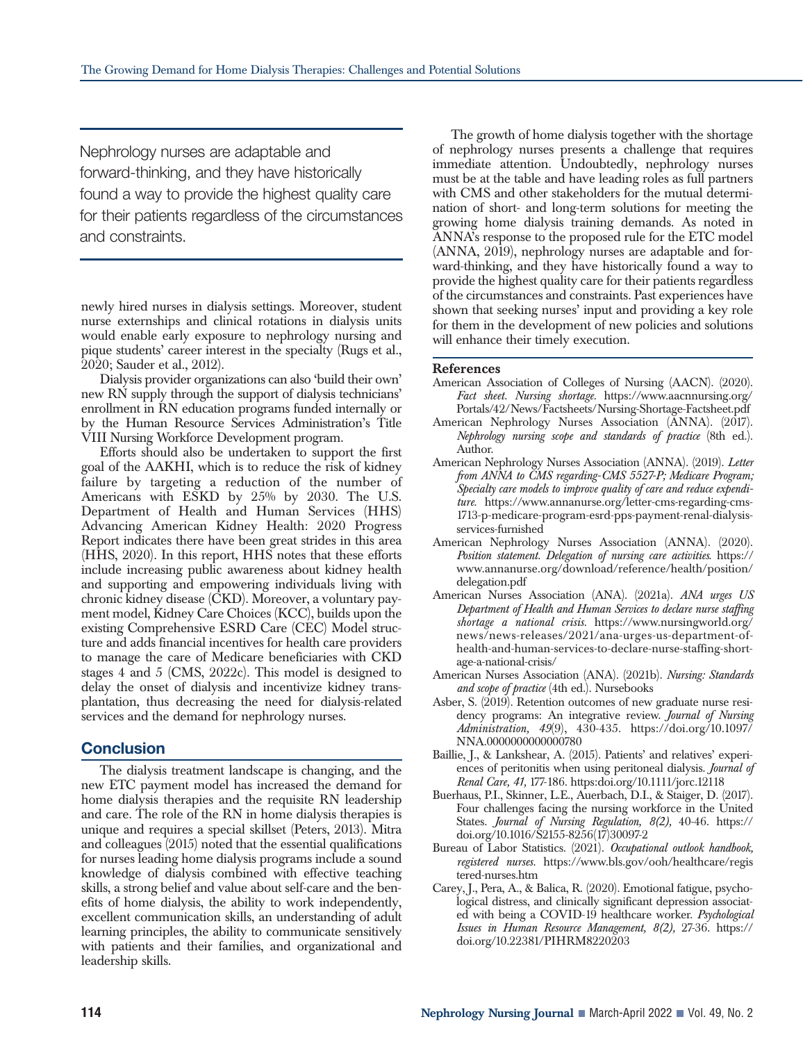Nephrology nurses are adaptable and forward-thinking, and they have historically found a way to provide the highest quality care for their patients regardless of the circumstances and constraints.

newly hired nurses in dialysis settings. Moreover, student nurse externships and clinical rotations in dialysis units would enable early exposure to nephrology nursing and pique students' career interest in the specialty (Rugs et al., 2020; Sauder et al., 2012).

Dialysis provider organizations can also 'build their own' new RN supply through the support of dialysis technicians' enrollment in RN education programs funded internally or by the Human Resource Services Administration's Title VIII Nursing Workforce Development program.

Efforts should also be undertaken to support the first goal of the AAKHI, which is to reduce the risk of kidney failure by targeting a reduction of the number of Americans with ESKD by 25% by 2030. The U.S. Department of Health and Human Services (HHS) Advancing American Kidney Health: 2020 Progress Report indicates there have been great strides in this area (HHS, 2020). In this report, HHS notes that these efforts include increasing public awareness about kidney health and supporting and empowering individuals living with chronic kidney disease (CKD). Moreover, a voluntary payment model, Kidney Care Choices (KCC), builds upon the existing Comprehensive ESRD Care (CEC) Model structure and adds financial incentives for health care providers to manage the care of Medicare beneficiaries with CKD stages 4 and 5 (CMS, 2022c). This model is designed to delay the onset of dialysis and incentivize kidney transplantation, thus decreasing the need for dialysis-related services and the demand for nephrology nurses.

## **Conclusion**

The dialysis treatment landscape is changing, and the new ETC payment model has increased the demand for home dialysis therapies and the requisite RN leadership and care. The role of the RN in home dialysis therapies is unique and requires a special skillset (Peters, 2013). Mitra and colleagues (2015) noted that the essential qualifications for nurses leading home dialysis programs include a sound knowledge of dialysis combined with effective teaching skills, a strong belief and value about self-care and the benefits of home dialysis, the ability to work independently, excellent communication skills, an understanding of adult learning principles, the ability to communicate sensitively with patients and their families, and organizational and leadership skills.

The growth of home dialysis together with the shortage of nephrology nurses presents a challenge that requires immediate attention. Undoubtedly, nephrology nurses must be at the table and have leading roles as full partners with CMS and other stakeholders for the mutual determination of short- and long-term solutions for meeting the growing home dialysis training demands. As noted in ANNA's response to the proposed rule for the ETC model (ANNA, 2019), nephrology nurses are adaptable and forward-thinking, and they have historically found a way to provide the highest quality care for their patients regardless of the circumstances and constraints. Past experiences have shown that seeking nurses' input and providing a key role for them in the development of new policies and solutions will enhance their timely execution.

#### **References**

- American Association of Colleges of Nursing (AACN). (2020). *Fact sheet. Nursing shortage.* https://www.aacnnursing.org/ Portals/42/News/Factsheets/Nursing-Shortage-Factsheet.pdf
- American Nephrology Nurses Association (ANNA). (2017). *Nephrology nursing scope and standards of practice* (8th ed.). Author.
- American Nephrology Nurses Association (ANNA). (2019). *Letter from ANNA to CMS regarding-CMS 5527-P; Medicare Program; Specialty care models to improve quality of care and reduce expenditure*. https://www.annanurse.org/letter-cms-regarding-cms-1713-p-medicare-program-esrd-pps-payment-renal-dialysisservices-furnished
- American Nephrology Nurses Association (ANNA). (2020). *Position statement. Delegation of nursing care activities*. https:// www.annanurse.org/download/reference/health/position/ delegation.pdf
- American Nurses Association (ANA). (2021a). *ANA urges US Department of Health and Human Services to declare nurse staffing shortage a national crisis.* https://www.nursingworld.org/ news/news-releases/2021/ana-urges-us-department-ofhealth-and-human-services-to-declare-nurse-staffing-shortage-a-national-crisis/
- American Nurses Association (ANA). (2021b). *Nursing: Standards and scope of practice* (4th ed.). Nursebooks
- Asber, S. (2019). Retention outcomes of new graduate nurse residency programs: An integrative review. *Journal of Nursing Administration, 49*(9), 430-435. https://doi.org/10.1097/ NNA.0000000000000780
- Baillie, J., & Lankshear, A. (2015). Patients' and relatives' experiences of peritonitis when using peritoneal dialysis. *Journal of Renal Care, 41,* 177-186. https:doi.org/10.1111/jorc.12118
- Buerhaus, P.I., Skinner, L.E., Auerbach, D.I., & Staiger, D. (2017). Four challenges facing the nursing workforce in the United States. *Journal of Nursing Regulation, 8(2),* 40-46. https:// doi.org/10.1016/S2155-8256(17)30097-2
- Bureau of Labor Statistics. (2021). *Occupational outlook handbook, registered nurses.* https://www.bls.gov/ooh/healthcare/regis tered-nurses.htm
- Carey, J., Pera, A., & Balica, R. (2020). Emotional fatigue, psychological distress, and clinically significant depression associated with being a COVID-19 healthcare worker. *Psychological Issues in Human Resource Management, 8(2),* 27-36. https:// doi.org/10.22381/PIHRM8220203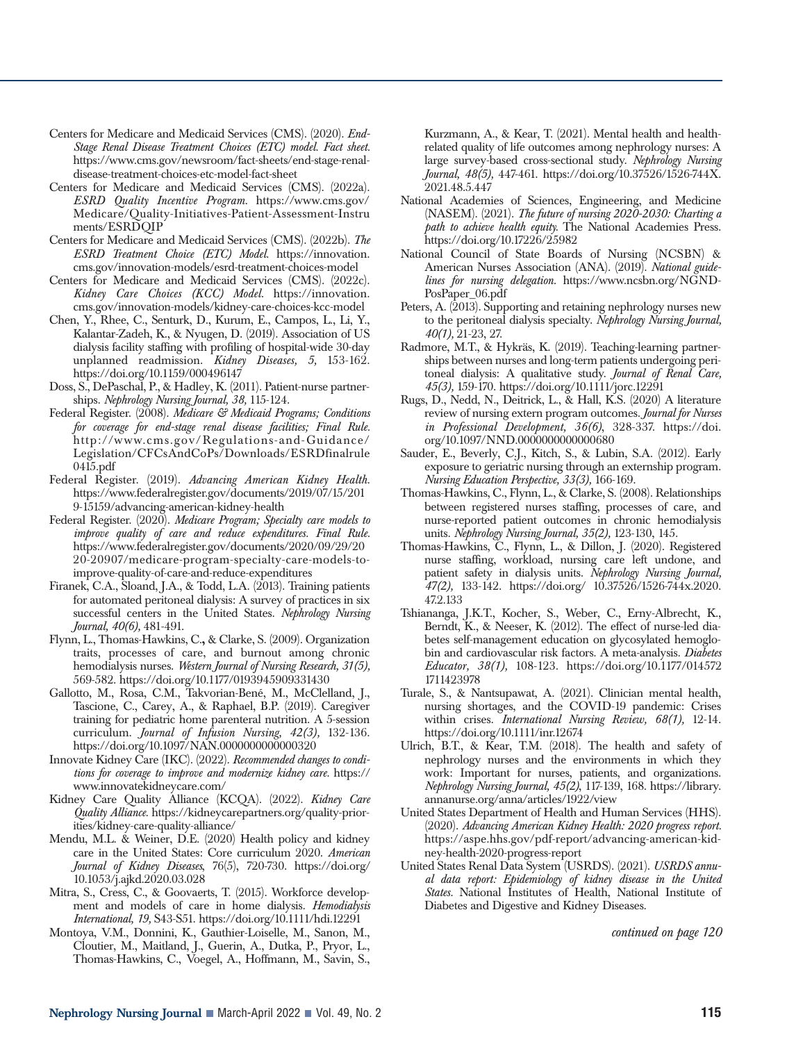- Centers for Medicare and Medicaid Services (CMS). (2020). *End-Stage Renal Disease Treatment Choices (ETC) model. Fact sheet.* https://www.cms.gov/newsroom/fact-sheets/end-stage-renaldisease-treatment-choices-etc-model-fact-sheet
- Centers for Medicare and Medicaid Services (CMS). (2022a). *ESRD Quality Incentive Program.* https://www.cms.gov/ Medicare/Quality-Initiatives-Patient-Assessment-Instru ments/ESRDQIP
- Centers for Medicare and Medicaid Services (CMS). (2022b). *The ESRD Treatment Choice (ETC) Model.* https://innovation. cms.gov/innovation-models/esrd-treatment-choices-model
- Centers for Medicare and Medicaid Services (CMS). (2022c). *Kidney Care Choices (KCC) Model.* https://innovation. cms.gov/innovation-models/kidney-care-choices-kcc-model
- Chen, Y., Rhee, C., Senturk, D., Kurum, E., Campos, L., Li, Y., Kalantar-Zadeh, K., & Nyugen, D. (2019). Association of US dialysis facility staffing with profiling of hospital-wide 30-day unplanned readmission. *Kidney Diseases, 5,* 153-162. https://doi.org/10.1159/000496147
- Doss, S., DePaschal, P., & Hadley, K. (2011). Patient-nurse partnerships. *Nephrology Nursing Journal, 38,* 115-124.
- Federal Register. (2008). *Medicare & Medicaid Programs; Conditions for coverage for end-stage renal disease facilities; Final Rule.* http://www.cms.gov/Regulations-and-Guidance/ Legislation/CFCsAndCoPs/Downloads/ESRDfinalrule 0415.pdf
- Federal Register. (2019). *Advancing American Kidney Health.* https://www.federalregister.gov/documents/2019/07/15/201 9-15159/advancing-american-kidney-health
- Federal Register. (2020). *Medicare Program; Specialty care models to improve quality of care and reduce expenditures. Final Rule.* https://www.federalregister.gov/documents/2020/09/29/20 20-20907/medicare-program-specialty-care-models-toimprove-quality-of-care-and-reduce-expenditures
- Firanek, C.A., Sloand, J.A., & Todd, L.A. (2013). Training patients for automated peritoneal dialysis: A survey of practices in six successful centers in the United States. *Nephrology Nursing Journal, 40(6),* 481-491.
- Flynn, L., Thomas-Hawkins, C.**,** & Clarke, S. (2009). Organization traits, processes of care, and burnout among chronic hemodialysis nurses. *Western Journal of Nursing Research, 31(5),* 569-582. https://doi.org/10.1177/0193945909331430
- Gallotto, M., Rosa, C.M., Takvorian-Bené, M., McClelland, J., Tascione, C., Carey, A., & Raphael, B.P. (2019). Caregiver training for pediatric home parenteral nutrition. A 5-session curriculum. *Journal of Infusion Nursing, 42(3),* 132-136. https://doi.org/10.1097/NAN.0000000000000320
- Innovate Kidney Care (IKC). (2022). *Recommended changes to conditions for coverage to improve and modernize kidney care.* https:// www.innovatekidneycare.com/
- Kidney Care Quality Alliance (KCQA). (2022). *Kidney Care Quality Alliance.* https://kidneycarepartners.org/quality-priorities/kidney-care-quality-alliance/
- Mendu, M.L. & Weiner, D.E. (2020) Health policy and kidney care in the United States: Core curriculum 2020. *American Journal of Kidney Diseases*, 76(5), 720-730. https://doi.org/ 10.1053/j.ajkd.2020.03.028
- Mitra, S., Cress, C., & Goovaerts, T. (2015). Workforce development and models of care in home dialysis. *Hemodialysis International, 19,* S43-S51. https://doi.org/10.1111/hdi.12291
- Montoya, V.M., Donnini, K., Gauthier-Loiselle, M., Sanon, M., Cloutier, M., Maitland, J., Guerin, A., Dutka, P., Pryor, L., Thomas-Hawkins, C., Voegel, A., Hoffmann, M., Savin, S.,

Kurzmann, A., & Kear, T. (2021). Mental health and healthrelated quality of life outcomes among nephrology nurses: A large survey-based cross-sectional study. *Nephrology Nursing Journal, 48(5),* 447-461. https://doi.org/10.37526/1526-744X. 2021.48.5.447

- National Academies of Sciences, Engineering, and Medicine (NASEM). (2021). *The future of nursing 2020-2030: Charting a path to achieve health equity.* The National Academies Press. https://doi.org/10.17226/25982
- National Council of State Boards of Nursing (NCSBN) & American Nurses Association (ANA). (2019). *National guidelines for nursing delegation.* https://www.ncsbn.org/NGND-PosPaper\_06.pdf
- Peters, A. (2013). Supporting and retaining nephrology nurses new to the peritoneal dialysis specialty. *Nephrology Nursing Journal, 40(1),* 21-23, 27.
- Radmore, M.T., & Hykräs, K. (2019). Teaching-learning partnerships between nurses and long-term patients undergoing peritoneal dialysis: A qualitative study. *Journal of Renal Care, 45(3),* 159-170. https://doi.org/10.1111/jorc.12291
- Rugs, D., Nedd, N., Deitrick, L., & Hall, K.S. (2020) A literature review of nursing extern program outcomes. *Journal for Nurses in Professional Development, 36(6)*, 328-337. https://doi. org/10.1097/NND.0000000000000680
- Sauder, E., Beverly, C.J., Kitch, S., & Lubin, S.A. (2012). Early exposure to geriatric nursing through an externship program. *Nursing Education Perspective, 33(3),* 166-169.
- Thomas-Hawkins, C., Flynn, L., & Clarke, S. (2008). Relationships between registered nurses staffing, processes of care, and nurse-reported patient outcomes in chronic hemodialysis units. *Nephrology Nursing Journal, 35(2),* 123-130, 145.
- Thomas-Hawkins, C., Flynn, L., & Dillon, J. (2020). Registered nurse staffing, workload, nursing care left undone, and patient safety in dialysis units. *Nephrology Nursing Journal, 47(2),* 133-142. https://doi.org/ 10.37526/1526-744x.2020. 47.2.133
- Tshiananga, J.K.T., Kocher, S., Weber, C., Erny-Albrecht, K., Berndt, K., & Neeser, K. (2012). The effect of nurse-led diabetes self-management education on glycosylated hemoglobin and cardiovascular risk factors. A meta-analysis. *Diabetes Educator, 38(1),* 108-123. https://doi.org/10.1177/014572 1711423978
- Turale, S., & Nantsupawat, A. (2021). Clinician mental health, nursing shortages, and the COVID-19 pandemic: Crises within crises. *International Nursing Review, 68(1),* 12-14. https://doi.org/10.1111/inr.12674
- Ulrich, B.T., & Kear, T.M. (2018). The health and safety of nephrology nurses and the environments in which they work: Important for nurses, patients, and organizations. *Nephrology Nursing Journal, 45(2)*, 117-139, 168. https://library. annanurse.org/anna/articles/1922/view
- United States Department of Health and Human Services (HHS). (2020). *Advancing American Kidney Health: 2020 progress report.* https://aspe.hhs.gov/pdf-report/advancing-american-kidney-health-2020-progress-report
- United States Renal Data System (USRDS). (2021). *USRDS annual data report: Epidemiology of kidney disease in the United States.* National Institutes of Health, National Institute of Diabetes and Digestive and Kidney Diseases.

*continued on page 120*